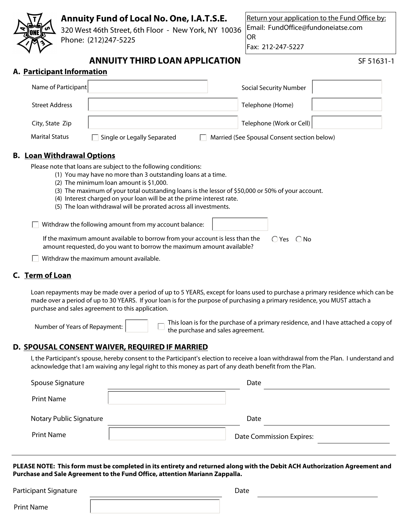| Annuity Fund of Local No. One, I.A.T.S.E.<br>320 West 46th Street, 6th Floor - New York, NY 10036<br>Phone: (212)247-5225                                                                                                                                                                                                                                                                                                    | Return your application to the Fund Office by:<br>Email: FundOffice@fundoneiatse.com<br><b>OR</b><br>Fax: 212-247-5227 |
|------------------------------------------------------------------------------------------------------------------------------------------------------------------------------------------------------------------------------------------------------------------------------------------------------------------------------------------------------------------------------------------------------------------------------|------------------------------------------------------------------------------------------------------------------------|
| <b>ANNUITY THIRD LOAN APPLICATION</b>                                                                                                                                                                                                                                                                                                                                                                                        | SF 51631-1                                                                                                             |
| A. Participant Information                                                                                                                                                                                                                                                                                                                                                                                                   |                                                                                                                        |
| Name of Participant                                                                                                                                                                                                                                                                                                                                                                                                          | <b>Social Security Number</b>                                                                                          |
| <b>Street Address</b>                                                                                                                                                                                                                                                                                                                                                                                                        | Telephone (Home)                                                                                                       |
| City, State Zip                                                                                                                                                                                                                                                                                                                                                                                                              | Telephone (Work or Cell)                                                                                               |
| <b>Marital Status</b><br>Single or Legally Separated                                                                                                                                                                                                                                                                                                                                                                         | Married (See Spousal Consent section below)                                                                            |
| <b>B.</b> Loan Withdrawal Options                                                                                                                                                                                                                                                                                                                                                                                            |                                                                                                                        |
| Please note that loans are subject to the following conditions:<br>(1) You may have no more than 3 outstanding loans at a time.<br>(2) The minimum loan amount is \$1,000.<br>(3) The maximum of your total outstanding loans is the lessor of \$50,000 or 50% of your account.<br>(4) Interest charged on your loan will be at the prime interest rate.<br>(5) The loan withdrawal will be prorated across all investments. |                                                                                                                        |
| Withdraw the following amount from my account balance:                                                                                                                                                                                                                                                                                                                                                                       |                                                                                                                        |
| If the maximum amount available to borrow from your account is less than the<br>amount requested, do you want to borrow the maximum amount available?                                                                                                                                                                                                                                                                        | $\bigcap$ Yes $\bigcap$ No                                                                                             |

 $\Box$  Withdraw the maximum amount available.

# **C. Term of Loan**

Loan repayments may be made over a period of up to 5 YEARS, except for loans used to purchase a primary residence which can be made over a period of up to 30 YEARS. If your loan is for the purpose of purchasing a primary residence, you MUST attach a purchase and sales agreement to this application.

Number of Years of Repayment: This loan is for the purchase of a primary residence, and I have attached a copy of the purchase and sales agreement.

## **D. SPOUSAL CONSENT WAIVER, REQUIRED IF MARRIED**

I, the Participant's spouse, hereby consent to the Participant's election to receive a loan withdrawal from the Plan. I understand and acknowledge that I am waiving any legal right to this money as part of any death benefit from the Plan.

| Spouse Signature        | Date                            |
|-------------------------|---------------------------------|
| <b>Print Name</b>       |                                 |
| Notary Public Signature | Date                            |
| <b>Print Name</b>       | <b>Date Commission Expires:</b> |

**PLEASE NOTE: This form must be completed in its entirety and returned along with the Debit ACH Authorization Agreement and Purchase and Sale Agreement to the Fund Office, attention Mariann Zappalla.**

Date

Print Name